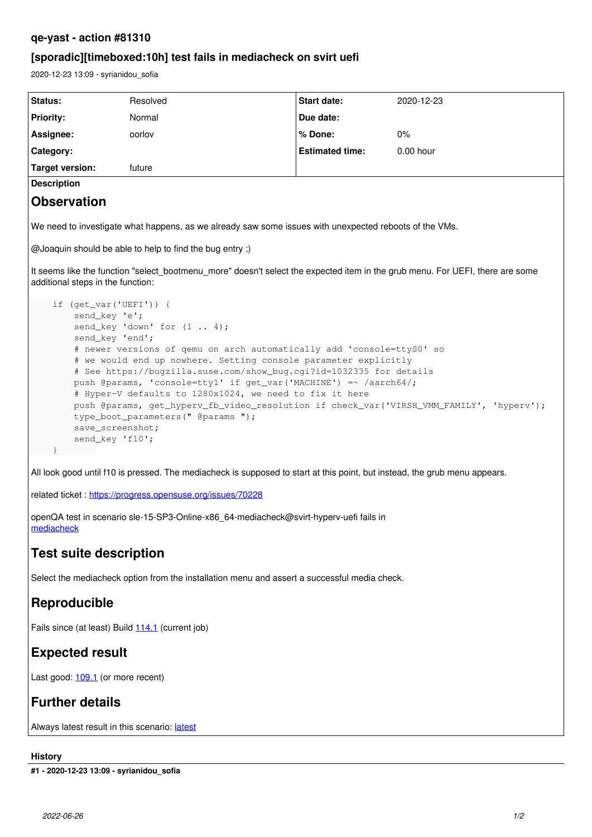## **qe-yast - action #81310**

## **[sporadic][timeboxed:10h] test fails in mediacheck on svirt uefi**

2020-12-23 13:09 - syrianidou\_sofia

| Status:                                                                                                                                                                                                                                                                                                                                                                                                                                                                                                                                                                                                                                                                                                                                                                                                                                                                                                                                                                    | Resolved | <b>Start date:</b>     | 2020-12-23  |
|----------------------------------------------------------------------------------------------------------------------------------------------------------------------------------------------------------------------------------------------------------------------------------------------------------------------------------------------------------------------------------------------------------------------------------------------------------------------------------------------------------------------------------------------------------------------------------------------------------------------------------------------------------------------------------------------------------------------------------------------------------------------------------------------------------------------------------------------------------------------------------------------------------------------------------------------------------------------------|----------|------------------------|-------------|
| <b>Priority:</b>                                                                                                                                                                                                                                                                                                                                                                                                                                                                                                                                                                                                                                                                                                                                                                                                                                                                                                                                                           | Normal   | Due date:              |             |
| Assignee:                                                                                                                                                                                                                                                                                                                                                                                                                                                                                                                                                                                                                                                                                                                                                                                                                                                                                                                                                                  | oorlov   | % Done:                | 0%          |
| Category:                                                                                                                                                                                                                                                                                                                                                                                                                                                                                                                                                                                                                                                                                                                                                                                                                                                                                                                                                                  |          | <b>Estimated time:</b> | $0.00$ hour |
| <b>Target version:</b>                                                                                                                                                                                                                                                                                                                                                                                                                                                                                                                                                                                                                                                                                                                                                                                                                                                                                                                                                     | future   |                        |             |
| <b>Description</b>                                                                                                                                                                                                                                                                                                                                                                                                                                                                                                                                                                                                                                                                                                                                                                                                                                                                                                                                                         |          |                        |             |
| <b>Observation</b>                                                                                                                                                                                                                                                                                                                                                                                                                                                                                                                                                                                                                                                                                                                                                                                                                                                                                                                                                         |          |                        |             |
| We need to investigate what happens, as we already saw some issues with unexpected reboots of the VMs.<br>@Joaquin should be able to help to find the bug entry;)<br>It seems like the function "select bootmenu more" doesn't select the expected item in the grub menu. For UEFI, there are some<br>additional steps in the function:<br>if $(qet_var('UEFI'))$ {<br>send_key 'e';<br>send_key 'down' for $(1 \tcdot 4)$ ;<br>send_key 'end';<br># newer versions of gemu on arch automatically add 'console=ttyS0' so<br># we would end up nowhere. Setting console parameter explicitly<br># See https://bugzilla.suse.com/show_bug.cgi?id=1032335 for details<br>push @params, 'console=tty1' if get_var('MACHINE') =~ /aarch64/;<br># Hyper-V defaults to 1280x1024, we need to fix it here<br>push @params, get_hyperv_fb_video_resolution if check_var('VIRSH_VMM_FAMILY', 'hyperv');<br>type_boot_parameters(" @params ");<br>save_screenshot;<br>send_key 'f10'; |          |                        |             |
| All look good until f10 is pressed. The mediacheck is supposed to start at this point, but instead, the grub menu appears.                                                                                                                                                                                                                                                                                                                                                                                                                                                                                                                                                                                                                                                                                                                                                                                                                                                 |          |                        |             |

related ticket : <https://progress.opensuse.org/issues/70228>

openQA test in scenario sle-15-SP3-Online-x86\_64-mediacheck@svirt-hyperv-uefi fails in [mediacheck](https://openqa.suse.de/tests/5212695/modules/mediacheck/steps/27)

# **Test suite description**

Select the mediacheck option from the installation menu and assert a successful media check.

# **Reproducible**

Fails since (at least) Build [114.1](https://openqa.suse.de/tests/5212695) (current job)

# **Expected result**

Last good: [109.1](https://openqa.suse.de/tests/5194446) (or more recent)

# **Further details**

Always [latest](https://openqa.suse.de/tests/latest?arch=x86_64&distri=sle&flavor=Online&machine=svirt-hyperv-uefi&test=mediacheck&version=15-SP3) result in this scenario: latest

# **History**

**#1 - 2020-12-23 13:09 - syrianidou\_sofia**